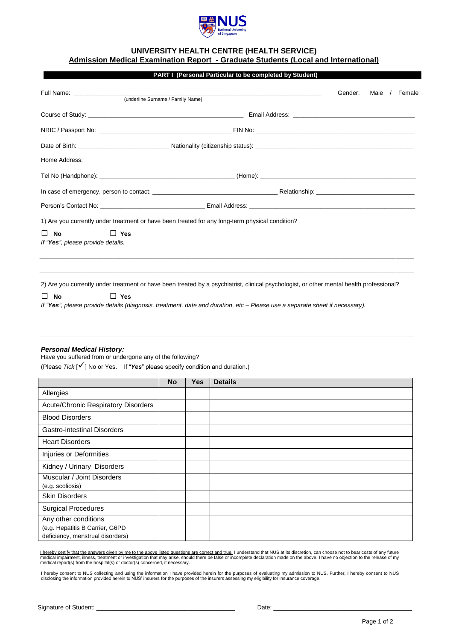

# **UNIVERSITY HEALTH CENTRE (HEALTH SERVICE)**

**Admission Medical Examination Report - Graduate Students (Local and International)**

|                                                                              |                                                                                                                                          | Gender: | Male / Female |
|------------------------------------------------------------------------------|------------------------------------------------------------------------------------------------------------------------------------------|---------|---------------|
|                                                                              |                                                                                                                                          |         |               |
|                                                                              |                                                                                                                                          |         |               |
|                                                                              |                                                                                                                                          |         |               |
|                                                                              |                                                                                                                                          |         |               |
|                                                                              |                                                                                                                                          |         |               |
|                                                                              |                                                                                                                                          |         |               |
|                                                                              |                                                                                                                                          |         |               |
|                                                                              |                                                                                                                                          |         |               |
|                                                                              | 1) Are you currently under treatment or have been treated for any long-term physical condition?                                          |         |               |
| $\Box$ Yes<br><b>No</b><br>$\mathsf{L}$<br>If "Yes", please provide details. |                                                                                                                                          |         |               |
|                                                                              |                                                                                                                                          |         |               |
|                                                                              | 2) Are you currently under treatment or have been treated by a psychiatrist, clinical psychologist, or other mental health professional? |         |               |
| $\Box$ Yes<br><b>No</b>                                                      |                                                                                                                                          |         |               |

#### *Personal Medical History:*

Have you suffered from or undergone any of the following?

(Please *Tick* [] No or Yes. If "*Yes*" please specify condition and duration.)

|                                                                                             | <b>No</b> | <b>Yes</b> | <b>Details</b> |
|---------------------------------------------------------------------------------------------|-----------|------------|----------------|
| Allergies                                                                                   |           |            |                |
| <b>Acute/Chronic Respiratory Disorders</b>                                                  |           |            |                |
| <b>Blood Disorders</b>                                                                      |           |            |                |
| <b>Gastro-intestinal Disorders</b>                                                          |           |            |                |
| <b>Heart Disorders</b>                                                                      |           |            |                |
| Injuries or Deformities                                                                     |           |            |                |
| Kidney / Urinary Disorders                                                                  |           |            |                |
| Muscular / Joint Disorders<br>(e.g. scoliosis)                                              |           |            |                |
| <b>Skin Disorders</b>                                                                       |           |            |                |
| <b>Surgical Procedures</b>                                                                  |           |            |                |
| Any other conditions<br>(e.g. Hepatitis B Carrier, G6PD<br>deficiency, menstrual disorders) |           |            |                |

 $\mathcal{L} = \{ \mathcal{L} = \{ \mathcal{L} = \{ \mathcal{L} = \{ \mathcal{L} = \{ \mathcal{L} = \{ \mathcal{L} = \{ \mathcal{L} = \{ \mathcal{L} = \{ \mathcal{L} = \{ \mathcal{L} = \{ \mathcal{L} = \{ \mathcal{L} = \{ \mathcal{L} = \{ \mathcal{L} = \{ \mathcal{L} = \{ \mathcal{L} = \{ \mathcal{L} = \{ \mathcal{L} = \{ \mathcal{L} = \{ \mathcal{L} = \{ \mathcal{L} = \{ \mathcal{L} = \{ \mathcal{L} = \{ \mathcal{$ \_\_\_\_\_\_\_\_\_\_\_\_\_\_\_\_\_\_\_\_\_\_\_\_\_\_\_\_\_\_\_\_\_\_\_\_\_\_\_\_\_\_\_\_\_\_\_\_\_\_\_\_\_\_\_\_\_\_\_\_\_\_\_\_\_\_\_\_\_\_\_\_\_\_\_\_\_\_\_\_\_\_\_\_\_\_\_\_\_\_\_\_\_\_\_\_\_\_\_\_\_\_\_\_\_\_\_\_\_\_\_\_\_\_\_\_\_\_\_\_\_\_\_

<u>l hereby certify that the answers given by me to the above listed questions are correct and true.</u> I understand that NUS at its discretion, can choose not to bear costs of any future<br>medical impairment, illness, treatment

I hereby consent to NUS collecting and using the information I have provided herein for the purposes of evaluating my admission to NUS. Further, I hereby consent to NUS<br>disclosing the information provided herein to NUS' in